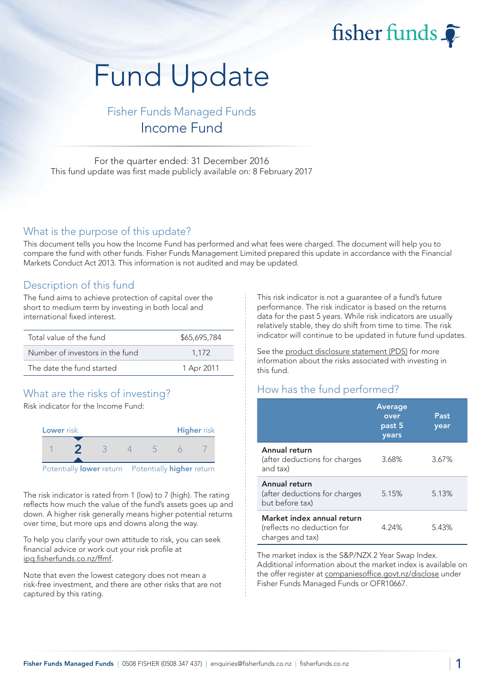fisher funds

# Fund Update

## Fisher Funds Managed Funds Income Fund

For the quarter ended: 31 December 2016 This fund update was first made publicly available on: 8 February 2017

#### What is the purpose of this update?

This document tells you how the Income Fund has performed and what fees were charged. The document will help you to compare the fund with other funds. Fisher Funds Management Limited prepared this update in accordance with the Financial Markets Conduct Act 2013. This information is not audited and may be updated.

#### Description of this fund

The fund aims to achieve protection of capital over the short to medium term by investing in both local and international fixed interest.

| Total value of the fund         | \$65,695,784 |
|---------------------------------|--------------|
| Number of investors in the fund | 1.172        |
| The date the fund started       | 1 Apr 2011   |

## What are the risks of investing?

Risk indicator for the Income Fund:



The risk indicator is rated from 1 (low) to 7 (high). The rating reflects how much the value of the fund's assets goes up and down. A higher risk generally means higher potential returns over time, but more ups and downs along the way.

To help you clarify your own attitude to risk, you can seek financial advice or work out your risk profile at [ipq.fisherfunds.co.nz/ffmf.](https://ipq.fisherfunds.co.nz/ffmf)

Note that even the lowest category does not mean a risk-free investment, and there are other risks that are not captured by this rating.

This risk indicator is not a guarantee of a fund's future performance. The risk indicator is based on the returns data for the past 5 years. While risk indicators are usually relatively stable, they do shift from time to time. The risk indicator will continue to be updated in future fund updates.

See the [product disclosure statement \(PDS\)](https://fisherfunds.co.nz/assets/PDS/Fisher-Funds-Managed-Funds-PDS.pdf) for more information about the risks associated with investing in this fund.

## How has the fund performed?

|                                                                              | <b>Average</b><br>over<br>past 5<br>years | Past<br>year |
|------------------------------------------------------------------------------|-------------------------------------------|--------------|
| Annual return<br>(after deductions for charges<br>and tax)                   | 3.68%                                     | 3.67%        |
| Annual return<br>(after deductions for charges<br>but before tax)            | 5.15%                                     | 5.13%        |
| Market index annual return<br>(reflects no deduction for<br>charges and tax) | 4.24%                                     | 5.43%        |

The market index is the S&P/NZX 2 Year Swap Index. Additional information about the market index is available on the offer register at [companiesoffice.govt.nz/disclose](http://companiesoffice.govt.nz/disclose) under Fisher Funds Managed Funds or OFR10667.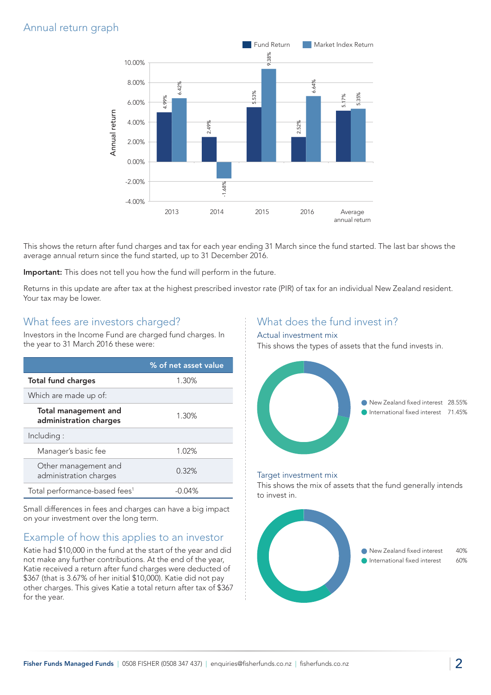## Annual return graph



This shows the return after fund charges and tax for each year ending 31 March since the fund started. The last bar shows the average annual return since the fund started, up to 31 December 2016.

Important: This does not tell you how the fund will perform in the future.

Returns in this update are after tax at the highest prescribed investor rate (PIR) of tax for an individual New Zealand resident. Your tax may be lower.

#### What fees are investors charged?

Investors in the Income Fund are charged fund charges. In the year to 31 March 2016 these were:

|                                                       | % of net asset value |
|-------------------------------------------------------|----------------------|
| <b>Total fund charges</b>                             | 1.30%                |
| Which are made up of:                                 |                      |
| <b>Total management and</b><br>administration charges | 1.30%                |
| Including:                                            |                      |
| Manager's basic fee                                   | 1.02%                |
| Other management and<br>administration charges        | 0.32%                |
| Total performance-based fees <sup>1</sup>             | $-(1.04\%$           |

Small differences in fees and charges can have a big impact on your investment over the long term.

### Example of how this applies to an investor

Katie had \$10,000 in the fund at the start of the year and did not make any further contributions. At the end of the year, Katie received a return after fund charges were deducted of \$367 (that is 3.67% of her initial \$10,000). Katie did not pay other charges. This gives Katie a total return after tax of \$367 for the year.

#### What does the fund invest in?

#### Actual investment mix

This shows the types of assets that the fund invests in.



#### Target investment mix

This shows the mix of assets that the fund generally intends to invest in.